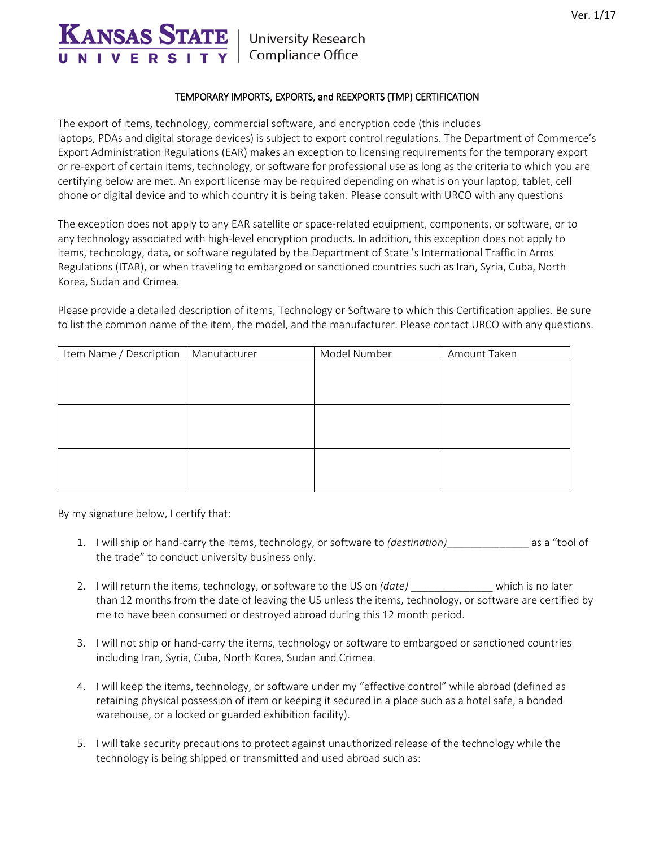

## **University Research** Compliance Office

## TEMPORARY IMPORTS, EXPORTS, and REEXPORTS (TMP) CERTIFICATION

The export of items, technology, commercial software, and encryption code (this includes laptops, PDAs and digital storage devices) is subject to export control regulations. The Department of Commerce's Export Administration Regulations (EAR) makes an exception to licensing requirements for the temporary export or re-export of certain items, technology, or software for professional use as long as the criteria to which you are certifying below are met. An export license may be required depending on what is on your laptop, tablet, cell phone or digital device and to which country it is being taken. Please consult with URCO with any questions

The exception does not apply to any EAR satellite or space-related equipment, components, or software, or to any technology associated with high-level encryption products. In addition, this exception does not apply to items, technology, data, or software regulated by the Department of State 's International Traffic in Arms Regulations (ITAR), or when traveling to embargoed or sanctioned countries such as Iran, Syria, Cuba, North Korea, Sudan and Crimea.

Please provide a detailed description of items, Technology or Software to which this Certification applies. Be sure to list the common name of the item, the model, and the manufacturer. Please contact URCO with any questions.

| Item Name / Description | Manufacturer | Model Number | Amount Taken |
|-------------------------|--------------|--------------|--------------|
|                         |              |              |              |
|                         |              |              |              |
|                         |              |              |              |
|                         |              |              |              |
|                         |              |              |              |
|                         |              |              |              |
|                         |              |              |              |
|                         |              |              |              |
|                         |              |              |              |

By my signature below, I certify that:

- 1. I will ship or hand-carry the items, technology, or software to *(destination)*\_\_\_\_\_\_\_\_\_\_\_\_\_\_ as a "tool of the trade" to conduct university business only.
- 2. I will return the items, technology, or software to the US on *(date)* \_\_\_\_\_\_\_\_\_\_\_\_\_\_ which is no later than 12 months from the date of leaving the US unless the items, technology, or software are certified by me to have been consumed or destroyed abroad during this 12 month period.
- 3. I will not ship or hand-carry the items, technology or software to embargoed or sanctioned countries including Iran, Syria, Cuba, North Korea, Sudan and Crimea.
- 4. I will keep the items, technology, or software under my "effective control" while abroad (defined as retaining physical possession of item or keeping it secured in a place such as a hotel safe, a bonded warehouse, or a locked or guarded exhibition facility).
- 5. I will take security precautions to protect against unauthorized release of the technology while the technology is being shipped or transmitted and used abroad such as: